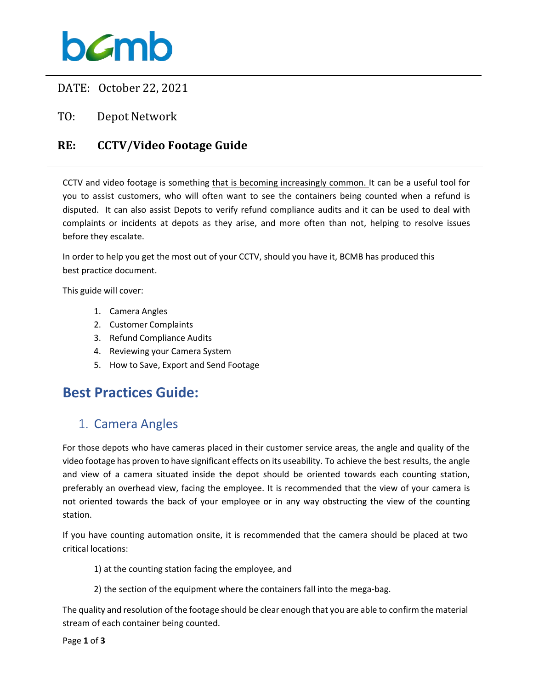### bamb

DATE: October 22, 2021

TO: Depot Network

#### **RE: CCTV/Video Footage Guide**

CCTV and video footage is something that is becoming increasingly common. It can be a useful tool for you to assist customers, who will often want to see the containers being counted when a refund is disputed. It can also assist Depots to verify refund compliance audits and it can be used to deal with complaints or incidents at depots as they arise, and more often than not, helping to resolve issues before they escalate.

In order to help you get the most out of your CCTV, should you have it, BCMB has produced this best practice document.

This guide will cover:

- 1. Camera Angles
- 2. Customer Complaints
- 3. Refund Compliance Audits
- 4. Reviewing your Camera System
- 5. How to Save, Export and Send Footage

### **Best Practices Guide:**

#### 1. Camera Angles

For those depots who have cameras placed in their customer service areas, the angle and quality of the video footage has proven to have significant effects on its useability. To achieve the best results, the angle and view of a camera situated inside the depot should be oriented towards each counting station, preferably an overhead view, facing the employee. It is recommended that the view of your camera is not oriented towards the back of your employee or in any way obstructing the view of the counting station.

If you have counting automation onsite, it is recommended that the camera should be placed at two critical locations:

1) at the counting station facing the employee, and

2) the section of the equipment where the containers fall into the mega-bag.

The quality and resolution of the footage should be clear enough that you are able to confirm the material stream of each container being counted.

Page **1** of **3**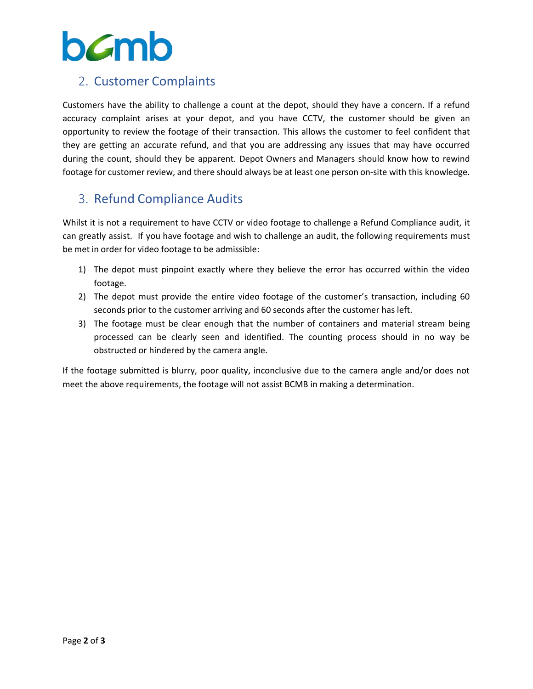# **b**cmb

#### 2. Customer Complaints

Customers have the ability to challenge a count at the depot, should they have a concern. If a refund accuracy complaint arises at your depot, and you have CCTV, the customer should be given an opportunity to review the footage of their transaction. This allows the customer to feel confident that they are getting an accurate refund, and that you are addressing any issues that may have occurred during the count, should they be apparent. Depot Owners and Managers should know how to rewind footage for customer review, and there should always be at least one person on-site with this knowledge.

#### 3. Refund Compliance Audits

Whilst it is not a requirement to have CCTV or video footage to challenge a Refund Compliance audit, it can greatly assist. If you have footage and wish to challenge an audit, the following requirements must be met in order for video footage to be admissible:

- 1) The depot must pinpoint exactly where they believe the error has occurred within the video footage.
- 2) The depot must provide the entire video footage of the customer's transaction, including 60 seconds prior to the customer arriving and 60 seconds after the customer has left.
- 3) The footage must be clear enough that the number of containers and material stream being processed can be clearly seen and identified. The counting process should in no way be obstructed or hindered by the camera angle.

If the footage submitted is blurry, poor quality, inconclusive due to the camera angle and/or does not meet the above requirements, the footage will not assist BCMB in making a determination.